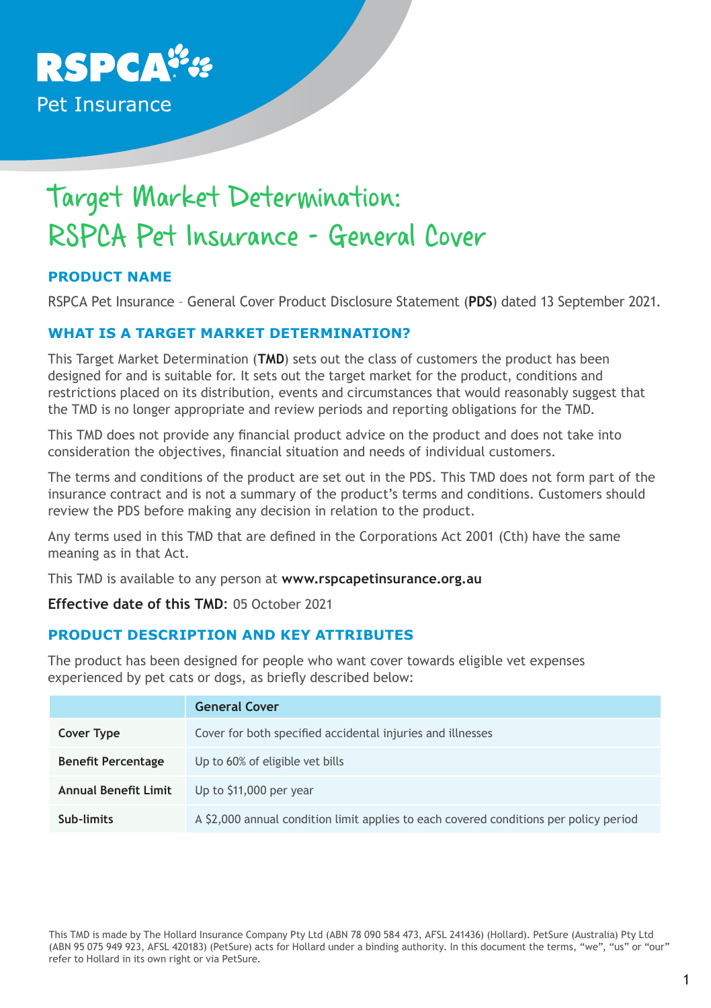

# Target Market Determination: RSPCA Pet Insurance - General Cover

# **PRODUCT NAME**

RSPCA Pet Insurance – General Cover Product Disclosure Statement (**PDS**) dated 13 September 2021.

#### **WHAT IS A TARGET MARKET DETERMINATION?**

This Target Market Determination (**TMD**) sets out the class of customers the product has been designed for and is suitable for. It sets out the target market for the product, conditions and restrictions placed on its distribution, events and circumstances that would reasonably suggest that the TMD is no longer appropriate and review periods and reporting obligations for the TMD.

This TMD does not provide any financial product advice on the product and does not take into consideration the objectives, financial situation and needs of individual customers.

The terms and conditions of the product are set out in the PDS. This TMD does not form part of the insurance contract and is not a summary of the product's terms and conditions. Customers should review the PDS before making any decision in relation to the product.

Any terms used in this TMD that are defined in the Corporations Act 2001 (Cth) have the same meaning as in that Act.

This TMD is available to any person at **www.rspcapetinsurance.org.au**

**Effective date of this TMD**: 05 October 2021

# **PRODUCT DESCRIPTION AND KEY ATTRIBUTES**

The product has been designed for people who want cover towards eligible vet expenses experienced by pet cats or dogs, as briefly described below:

|                             | <b>General Cover</b>                                                                  |
|-----------------------------|---------------------------------------------------------------------------------------|
| Cover Type                  | Cover for both specified accidental injuries and illnesses                            |
| <b>Benefit Percentage</b>   | Up to 60% of eligible vet bills                                                       |
| <b>Annual Benefit Limit</b> | Up to \$11,000 per year                                                               |
| Sub-limits                  | A \$2,000 annual condition limit applies to each covered conditions per policy period |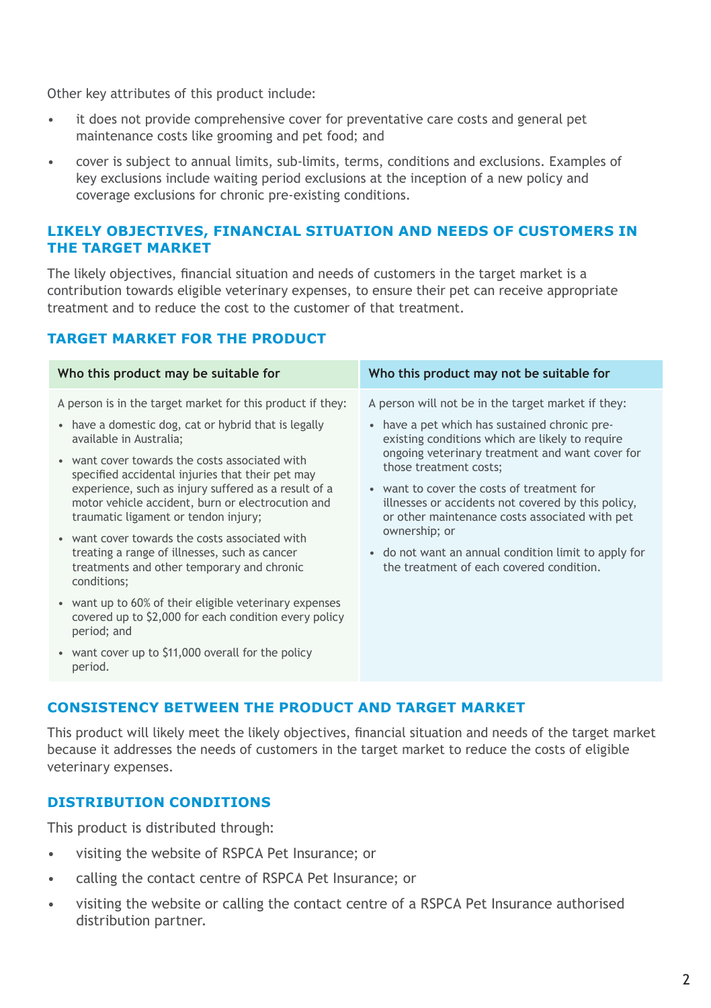Other key attributes of this product include:

- it does not provide comprehensive cover for preventative care costs and general pet maintenance costs like grooming and pet food; and
- cover is subject to annual limits, sub-limits, terms, conditions and exclusions. Examples of key exclusions include waiting period exclusions at the inception of a new policy and coverage exclusions for chronic pre-existing conditions.

#### **LIKELY OBJECTIVES, FINANCIAL SITUATION AND NEEDS OF CUSTOMERS IN THE TARGET MARKET**

The likely objectives, financial situation and needs of customers in the target market is a contribution towards eligible veterinary expenses, to ensure their pet can receive appropriate treatment and to reduce the cost to the customer of that treatment.

# **TARGET MARKET FOR THE PRODUCT**

| Who this product may be suitable for                                                                                                                                                                                                                                                                                                                                                                                                                                                                                                                                                                                                                                                                                                                                        | Who this product may not be suitable for                                                                                                                                                                                                                                                                                                                                                                                                                                                                       |
|-----------------------------------------------------------------------------------------------------------------------------------------------------------------------------------------------------------------------------------------------------------------------------------------------------------------------------------------------------------------------------------------------------------------------------------------------------------------------------------------------------------------------------------------------------------------------------------------------------------------------------------------------------------------------------------------------------------------------------------------------------------------------------|----------------------------------------------------------------------------------------------------------------------------------------------------------------------------------------------------------------------------------------------------------------------------------------------------------------------------------------------------------------------------------------------------------------------------------------------------------------------------------------------------------------|
| A person is in the target market for this product if they:<br>• have a domestic dog, cat or hybrid that is legally<br>available in Australia;<br>• want cover towards the costs associated with<br>specified accidental injuries that their pet may<br>experience, such as injury suffered as a result of a<br>motor vehicle accident, burn or electrocution and<br>traumatic ligament or tendon injury;<br>• want cover towards the costs associated with<br>treating a range of illnesses, such as cancer<br>treatments and other temporary and chronic<br>conditions;<br>• want up to 60% of their eligible veterinary expenses<br>covered up to \$2,000 for each condition every policy<br>period; and<br>• want cover up to \$11,000 overall for the policy<br>period. | A person will not be in the target market if they:<br>• have a pet which has sustained chronic pre-<br>existing conditions which are likely to require<br>ongoing veterinary treatment and want cover for<br>those treatment costs;<br>• want to cover the costs of treatment for<br>illnesses or accidents not covered by this policy,<br>or other maintenance costs associated with pet<br>ownership; or<br>• do not want an annual condition limit to apply for<br>the treatment of each covered condition. |
|                                                                                                                                                                                                                                                                                                                                                                                                                                                                                                                                                                                                                                                                                                                                                                             |                                                                                                                                                                                                                                                                                                                                                                                                                                                                                                                |

## **CONSISTENCY BETWEEN THE PRODUCT AND TARGET MARKET**

This product will likely meet the likely objectives, financial situation and needs of the target market because it addresses the needs of customers in the target market to reduce the costs of eligible veterinary expenses.

### **DISTRIBUTION CONDITIONS**

This product is distributed through:

- visiting the website of RSPCA Pet Insurance; or
- calling the contact centre of RSPCA Pet Insurance; or
- visiting the website or calling the contact centre of a RSPCA Pet Insurance authorised distribution partner.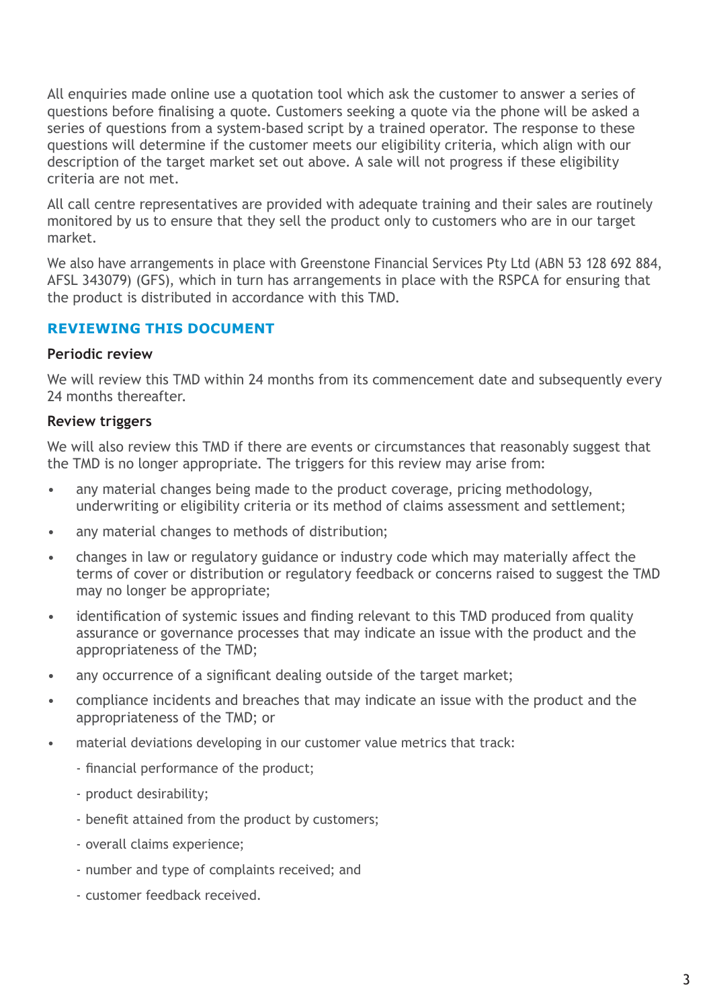All enquiries made online use a quotation tool which ask the customer to answer a series of questions before finalising a quote. Customers seeking a quote via the phone will be asked a series of questions from a system-based script by a trained operator. The response to these questions will determine if the customer meets our eligibility criteria, which align with our description of the target market set out above. A sale will not progress if these eligibility criteria are not met.

All call centre representatives are provided with adequate training and their sales are routinely monitored by us to ensure that they sell the product only to customers who are in our target market.

We also have arrangements in place with Greenstone Financial Services Pty Ltd (ABN 53 128 692 884, AFSL 343079) (GFS), which in turn has arrangements in place with the RSPCA for ensuring that the product is distributed in accordance with this TMD.

## **REVIEWING THIS DOCUMENT**

#### **Periodic review**

We will review this TMD within 24 months from its commencement date and subsequently every 24 months thereafter.

## **Review triggers**

We will also review this TMD if there are events or circumstances that reasonably suggest that the TMD is no longer appropriate. The triggers for this review may arise from:

- any material changes being made to the product coverage, pricing methodology, underwriting or eligibility criteria or its method of claims assessment and settlement;
- any material changes to methods of distribution;
- changes in law or regulatory guidance or industry code which may materially affect the terms of cover or distribution or regulatory feedback or concerns raised to suggest the TMD may no longer be appropriate;
- identification of systemic issues and finding relevant to this TMD produced from quality assurance or governance processes that may indicate an issue with the product and the appropriateness of the TMD;
- any occurrence of a significant dealing outside of the target market;
- compliance incidents and breaches that may indicate an issue with the product and the appropriateness of the TMD; or
- material deviations developing in our customer value metrics that track:
	- financial performance of the product;
	- product desirability;
	- benefit attained from the product by customers;
	- overall claims experience;
	- number and type of complaints received; and
	- customer feedback received.